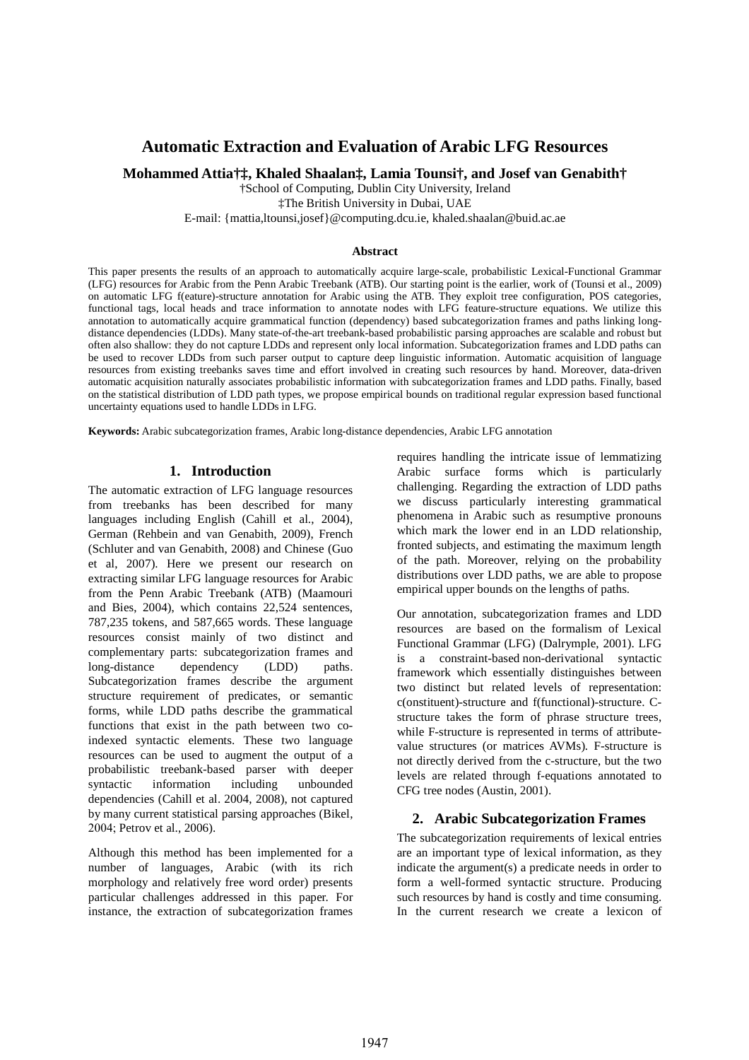# **Automatic Extraction and Evaluation of Arabic LFG Resources**

**Mohammed Attia†‡, Khaled Shaalan‡, Lamia Tounsi†, and Josef van Genabith†** 

†School of Computing, Dublin City University, Ireland

‡The British University in Dubai, UAE

E-mail: {mattia,ltounsi,josef}@computing.dcu.ie, khaled.shaalan@buid.ac.ae

#### **Abstract**

This paper presents the results of an approach to automatically acquire large-scale, probabilistic Lexical-Functional Grammar (LFG) resources for Arabic from the Penn Arabic Treebank (ATB). Our starting point is the earlier, work of (Tounsi et al., 2009) on automatic LFG f(eature)-structure annotation for Arabic using the ATB. They exploit tree configuration, POS categories, functional tags, local heads and trace information to annotate nodes with LFG feature-structure equations. We utilize this annotation to automatically acquire grammatical function (dependency) based subcategorization frames and paths linking longdistance dependencies (LDDs). Many state-of-the-art treebank-based probabilistic parsing approaches are scalable and robust but often also shallow: they do not capture LDDs and represent only local information. Subcategorization frames and LDD paths can be used to recover LDDs from such parser output to capture deep linguistic information. Automatic acquisition of language resources from existing treebanks saves time and effort involved in creating such resources by hand. Moreover, data-driven automatic acquisition naturally associates probabilistic information with subcategorization frames and LDD paths. Finally, based on the statistical distribution of LDD path types, we propose empirical bounds on traditional regular expression based functional uncertainty equations used to handle LDDs in LFG.

**Keywords:** Arabic subcategorization frames, Arabic long-distance dependencies, Arabic LFG annotation

### **1. Introduction**

The automatic extraction of LFG language resources from treebanks has been described for many languages including English (Cahill et al., 2004), German (Rehbein and van Genabith, 2009), French (Schluter and van Genabith, 2008) and Chinese (Guo et al, 2007). Here we present our research on extracting similar LFG language resources for Arabic from the Penn Arabic Treebank (ATB) (Maamouri and Bies, 2004), which contains 22,524 sentences, 787,235 tokens, and 587,665 words. These language resources consist mainly of two distinct and complementary parts: subcategorization frames and long-distance dependency (LDD) paths. Subcategorization frames describe the argument structure requirement of predicates, or semantic forms, while LDD paths describe the grammatical functions that exist in the path between two coindexed syntactic elements. These two language resources can be used to augment the output of a probabilistic treebank-based parser with deeper syntactic information including unbounded dependencies (Cahill et al. 2004, 2008), not captured by many current statistical parsing approaches (Bikel, 2004; Petrov et al., 2006).

Although this method has been implemented for a number of languages, Arabic (with its rich morphology and relatively free word order) presents particular challenges addressed in this paper. For instance, the extraction of subcategorization frames

requires handling the intricate issue of lemmatizing Arabic surface forms which is particularly challenging. Regarding the extraction of LDD paths we discuss particularly interesting grammatical phenomena in Arabic such as resumptive pronouns which mark the lower end in an LDD relationship, fronted subjects, and estimating the maximum length of the path. Moreover, relying on the probability distributions over LDD paths, we are able to propose empirical upper bounds on the lengths of paths.

Our annotation, subcategorization frames and LDD resources are based on the formalism of Lexical Functional Grammar (LFG) (Dalrymple, 2001). LFG is a constraint-based non-derivational syntactic framework which essentially distinguishes between two distinct but related levels of representation: c(onstituent)-structure and f(functional)-structure. Cstructure takes the form of phrase structure trees, while F-structure is represented in terms of attributevalue structures (or matrices AVMs). F-structure is not directly derived from the c-structure, but the two levels are related through f-equations annotated to CFG tree nodes (Austin, 2001).

#### **2. Arabic Subcategorization Frames**

The subcategorization requirements of lexical entries are an important type of lexical information, as they indicate the argument(s) a predicate needs in order to form a well-formed syntactic structure. Producing such resources by hand is costly and time consuming. In the current research we create a lexicon of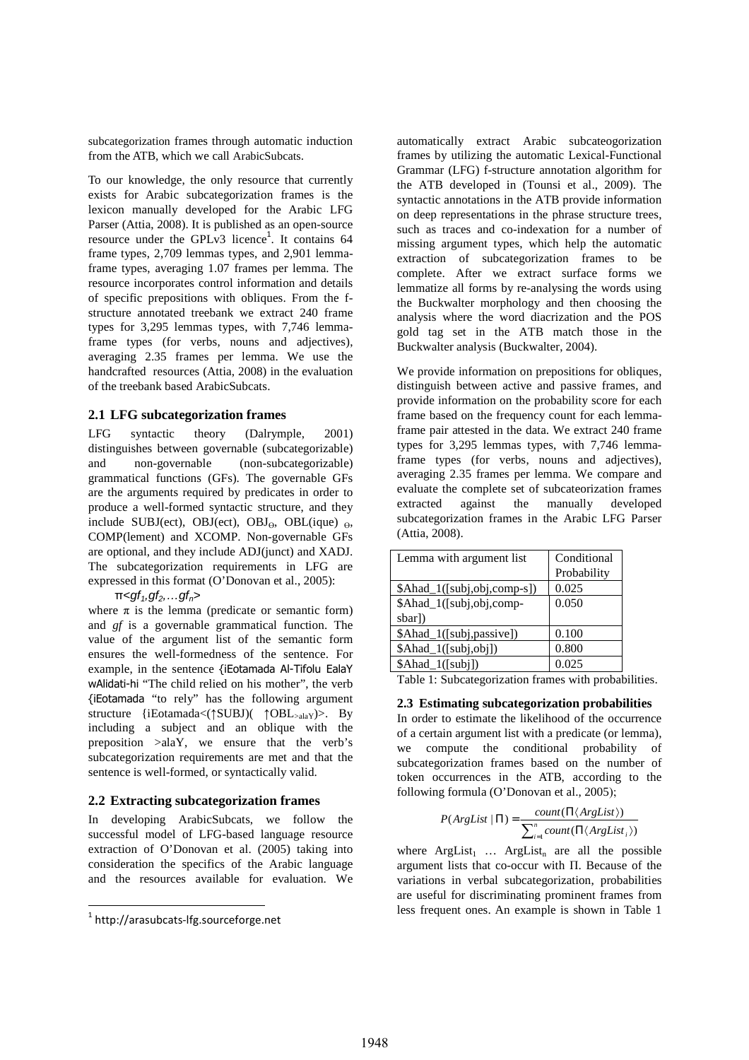subcategorization frames through automatic induction from the ATB, which we call ArabicSubcats.

To our knowledge, the only resource that currently exists for Arabic subcategorization frames is the lexicon manually developed for the Arabic LFG Parser (Attia, 2008). It is published as an open-source resource under the GPLv3 licence<sup>1</sup>. It contains 64 frame types, 2,709 lemmas types, and 2,901 lemmaframe types, averaging 1.07 frames per lemma. The resource incorporates control information and details of specific prepositions with obliques. From the fstructure annotated treebank we extract 240 frame types for 3,295 lemmas types, with 7,746 lemmaframe types (for verbs, nouns and adjectives), averaging 2.35 frames per lemma. We use the handcrafted resources (Attia, 2008) in the evaluation of the treebank based ArabicSubcats.

### **2.1 LFG subcategorization frames**

LFG syntactic theory (Dalrymple, 2001) distinguishes between governable (subcategorizable) and non-governable (non-subcategorizable) grammatical functions (GFs). The governable GFs are the arguments required by predicates in order to produce a well-formed syntactic structure, and they include SUBJ(ect), OBJ(ect), OBJ $_{\Theta}$ , OBL(ique)  $_{\Theta}$ , COMP(lement) and XCOMP. Non-governable GFs are optional, and they include ADJ(junct) and XADJ. The subcategorization requirements in LFG are expressed in this format (O'Donovan et al., 2005):

 $\pi$ <gf<sub>1</sub>,gf<sub>2</sub>,...gf<sub>n</sub>>

where  $\pi$  is the lemma (predicate or semantic form) and *gf* is a governable grammatical function. The value of the argument list of the semantic form ensures the well-formedness of the sentence. For example, in the sentence {iEotamada Al-Tifolu EalaY wAlidati-hi "The child relied on his mother", the verb {iEotamada "to rely" has the following argument structure {iEotamada<(↑SUBJ)( ↑OBL>alaY)>. By including a subject and an oblique with the preposition >alaY, we ensure that the verb's subcategorization requirements are met and that the sentence is well-formed, or syntactically valid.

#### **2.2 Extracting subcategorization frames**

In developing ArabicSubcats, we follow the successful model of LFG-based language resource extraction of O'Donovan et al. (2005) taking into consideration the specifics of the Arabic language and the resources available for evaluation. We

<u>.</u>

automatically extract Arabic subcateogorization frames by utilizing the automatic Lexical-Functional Grammar (LFG) f-structure annotation algorithm for the ATB developed in (Tounsi et al., 2009). The syntactic annotations in the ATB provide information on deep representations in the phrase structure trees, such as traces and co-indexation for a number of missing argument types, which help the automatic extraction of subcategorization frames to be complete. After we extract surface forms we lemmatize all forms by re-analysing the words using the Buckwalter morphology and then choosing the analysis where the word diacrization and the POS gold tag set in the ATB match those in the Buckwalter analysis (Buckwalter, 2004).

We provide information on prepositions for obliques, distinguish between active and passive frames, and provide information on the probability score for each frame based on the frequency count for each lemmaframe pair attested in the data. We extract 240 frame types for 3,295 lemmas types, with 7,746 lemmaframe types (for verbs, nouns and adjectives), averaging 2.35 frames per lemma. We compare and evaluate the complete set of subcateorization frames extracted against the manually developed subcategorization frames in the Arabic LFG Parser (Attia, 2008).

| Lemma with argument list    | Conditional |
|-----------------------------|-------------|
|                             | Probability |
| \$Ahad_1([subj,obj,comp-s]) | 0.025       |
| \$Ahad_1([subj,obj,comp-    | 0.050       |
| sbarl)                      |             |
| \$Ahad_1([subj,passive])    | 0.100       |
| \$Ahad_1([subj,obj])        | 0.800       |
| \$Ahad_1([subj])            | 0.025       |

Table 1: Subcategorization frames with probabilities.

#### **2.3 Estimating subcategorization probabilities**

In order to estimate the likelihood of the occurrence of a certain argument list with a predicate (or lemma), we compute the conditional probability of subcategorization frames based on the number of token occurrences in the ATB, according to the following formula (O'Donovan et al., 2005);

$$
P(ArgList | \Pi) = \frac{count(\Pi \langle ArgList \rangle)}{\sum_{i=1}^{n} count(\Pi \langle ArgList_i \rangle)}
$$

where  $ArgList_1$  ...  $ArgList_n$  are all the possible argument lists that co-occur with Π. Because of the variations in verbal subcategorization, probabilities are useful for discriminating prominent frames from less frequent ones. An example is shown in Table 1

<sup>1</sup> http://arasubcats-lfg.sourceforge.net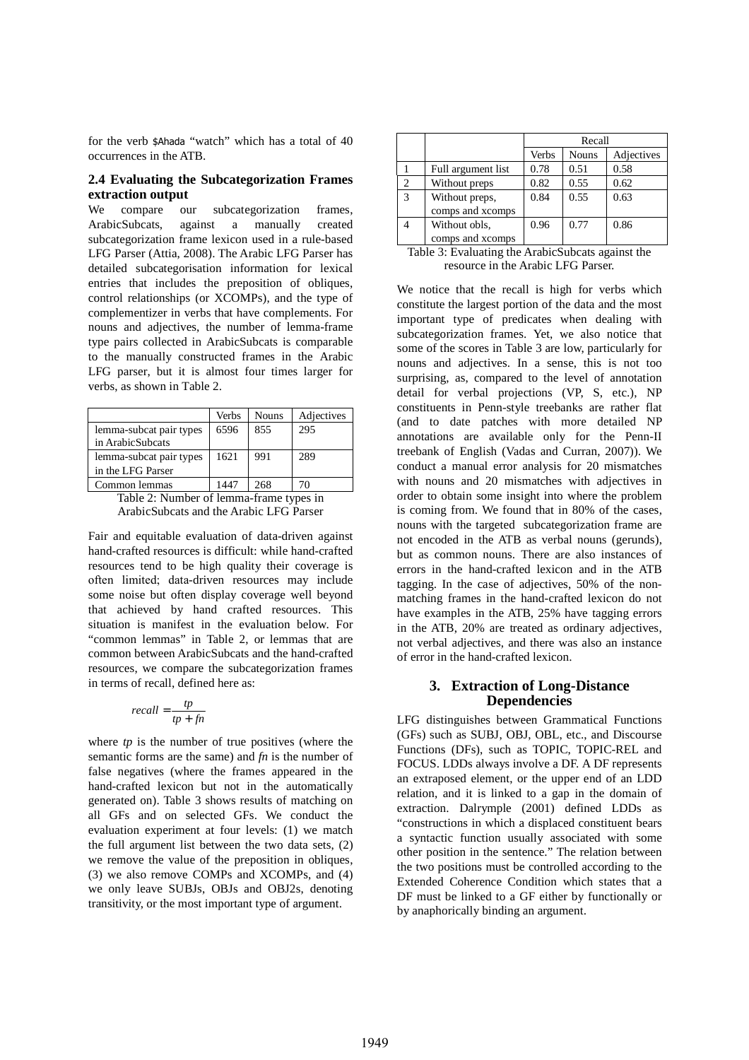for the verb \$Ahada "watch" which has a total of 40 occurrences in the ATB.

#### **2.4 Evaluating the Subcategorization Frames extraction output**

We compare our subcategorization frames, ArabicSubcats, against a manually created subcategorization frame lexicon used in a rule-based LFG Parser (Attia, 2008). The Arabic LFG Parser has detailed subcategorisation information for lexical entries that includes the preposition of obliques, control relationships (or XCOMPs), and the type of complementizer in verbs that have complements. For nouns and adjectives, the number of lemma-frame type pairs collected in ArabicSubcats is comparable to the manually constructed frames in the Arabic LFG parser, but it is almost four times larger for verbs, as shown in Table 2.

|                         | Verbs | Nouns | Adjectives |
|-------------------------|-------|-------|------------|
| lemma-subcat pair types | 6596  | 855   | 295        |
| in ArabicSubcats        |       |       |            |
| lemma-subcat pair types | 1621  | 991   | 289        |
| in the LFG Parser       |       |       |            |
| Common lemmas           | 1447  | 268   | 70         |

Table 2: Number of lemma-frame types in ArabicSubcats and the Arabic LFG Parser

Fair and equitable evaluation of data-driven against hand-crafted resources is difficult: while hand-crafted resources tend to be high quality their coverage is often limited; data-driven resources may include some noise but often display coverage well beyond that achieved by hand crafted resources. This situation is manifest in the evaluation below. For "common lemmas" in Table 2, or lemmas that are common between ArabicSubcats and the hand-crafted resources, we compare the subcategorization frames in terms of recall, defined here as:

$$
recall = \frac{tp}{tp + fn}
$$

where *tp* is the number of true positives (where the semantic forms are the same) and *fn* is the number of false negatives (where the frames appeared in the hand-crafted lexicon but not in the automatically generated on). Table 3 shows results of matching on all GFs and on selected GFs. We conduct the evaluation experiment at four levels: (1) we match the full argument list between the two data sets, (2) we remove the value of the preposition in obliques, (3) we also remove COMPs and XCOMPs, and (4) we only leave SUBJs, OBJs and OBJ2s, denoting transitivity, or the most important type of argument.

|                |                                    | Recall |              |            |
|----------------|------------------------------------|--------|--------------|------------|
|                |                                    | Verbs  | <b>Nouns</b> | Adjectives |
|                | Full argument list                 | 0.78   | 0.51         | 0.58       |
| $\overline{2}$ | Without preps                      | 0.82   | 0.55         | 0.62       |
| 3              | Without preps,<br>comps and xcomps | 0.84   | 0.55         | 0.63       |
|                | Without obls,<br>comps and xcomps  | 0.96   | 0.77         | 0.86       |

Table 3: Evaluating the ArabicSubcats against the resource in the Arabic LFG Parser.

We notice that the recall is high for verbs which constitute the largest portion of the data and the most important type of predicates when dealing with subcategorization frames. Yet, we also notice that some of the scores in Table 3 are low, particularly for nouns and adjectives. In a sense, this is not too surprising, as, compared to the level of annotation detail for verbal projections (VP, S, etc.), NP constituents in Penn-style treebanks are rather flat (and to date patches with more detailed NP annotations are available only for the Penn-II treebank of English (Vadas and Curran, 2007)). We conduct a manual error analysis for 20 mismatches with nouns and 20 mismatches with adjectives in order to obtain some insight into where the problem is coming from. We found that in 80% of the cases, nouns with the targeted subcategorization frame are not encoded in the ATB as verbal nouns (gerunds), but as common nouns. There are also instances of errors in the hand-crafted lexicon and in the ATB tagging. In the case of adjectives, 50% of the nonmatching frames in the hand-crafted lexicon do not have examples in the ATB, 25% have tagging errors in the ATB, 20% are treated as ordinary adjectives, not verbal adjectives, and there was also an instance of error in the hand-crafted lexicon.

### **3. Extraction of Long-Distance Dependencies**

LFG distinguishes between Grammatical Functions (GFs) such as SUBJ, OBJ, OBL, etc., and Discourse Functions (DFs), such as TOPIC, TOPIC-REL and FOCUS. LDDs always involve a DF. A DF represents an extraposed element, or the upper end of an LDD relation, and it is linked to a gap in the domain of extraction. Dalrymple (2001) defined LDDs as "constructions in which a displaced constituent bears a syntactic function usually associated with some other position in the sentence." The relation between the two positions must be controlled according to the Extended Coherence Condition which states that a DF must be linked to a GF either by functionally or by anaphorically binding an argument.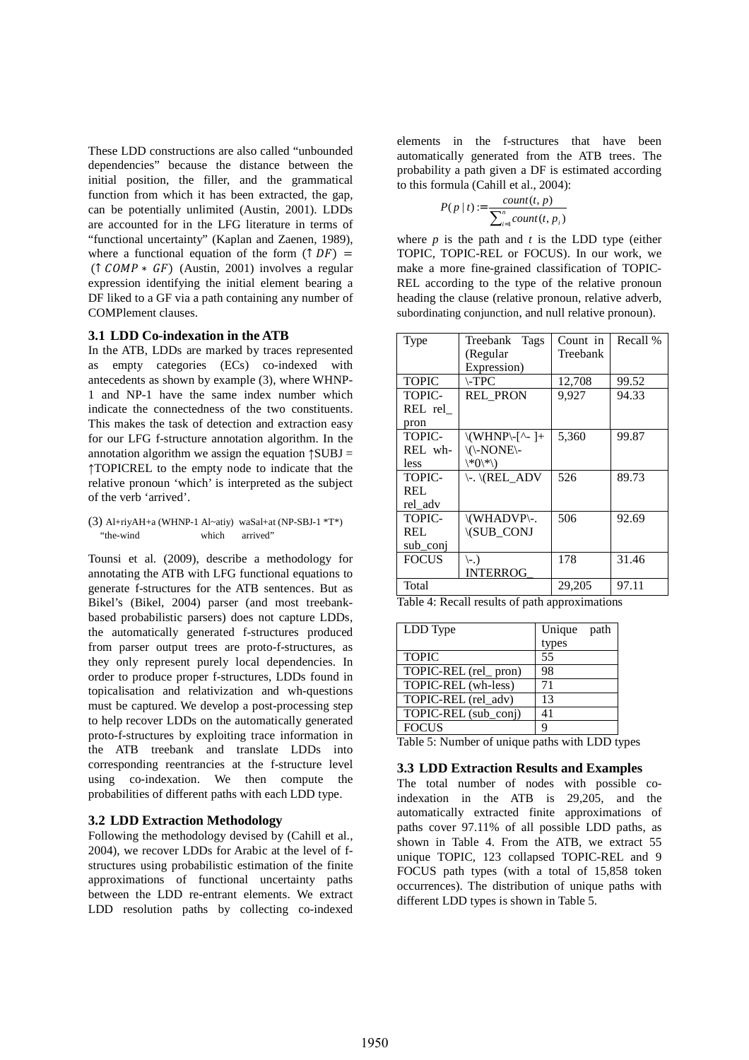These LDD constructions are also called "unbounded dependencies" because the distance between the initial position, the filler, and the grammatical function from which it has been extracted, the gap, can be potentially unlimited (Austin, 2001). LDDs are accounted for in the LFG literature in terms of "functional uncertainty" (Kaplan and Zaenen, 1989), where a functional equation of the form  $(\uparrow DF)$  =  $($ ↑  $COMP * GF)$  (Austin, 2001) involves a regular expression identifying the initial element bearing a DF liked to a GF via a path containing any number of COMPlement clauses.

#### **3.1 LDD Co-indexation in the ATB**

In the ATB, LDDs are marked by traces represented as empty categories (ECs) co-indexed with antecedents as shown by example (3), where WHNP-1 and NP-1 have the same index number which indicate the connectedness of the two constituents. This makes the task of detection and extraction easy for our LFG f-structure annotation algorithm. In the annotation algorithm we assign the equation  $\uparrow$ SUBJ = ↑TOPICREL to the empty node to indicate that the relative pronoun 'which' is interpreted as the subject of the verb 'arrived'.

(3) Al+riyAH+a (WHNP-1 Al~atiy) waSal+at (NP-SBJ-1 \*T\*) "the-wind which arrived"

Tounsi et al. (2009), describe a methodology for annotating the ATB with LFG functional equations to generate f-structures for the ATB sentences. But as Bikel's (Bikel, 2004) parser (and most treebankbased probabilistic parsers) does not capture LDDs, the automatically generated f-structures produced from parser output trees are proto-f-structures, as they only represent purely local dependencies. In order to produce proper f-structures, LDDs found in topicalisation and relativization and wh-questions must be captured. We develop a post-processing step to help recover LDDs on the automatically generated proto-f-structures by exploiting trace information in the ATB treebank and translate LDDs into corresponding reentrancies at the f-structure level using co-indexation. We then compute the probabilities of different paths with each LDD type.

#### **3.2 LDD Extraction Methodology**

Following the methodology devised by (Cahill et al., 2004), we recover LDDs for Arabic at the level of fstructures using probabilistic estimation of the finite approximations of functional uncertainty paths between the LDD re-entrant elements. We extract LDD resolution paths by collecting co-indexed

elements in the f-structures that have been automatically generated from the ATB trees. The probability a path given a DF is estimated according to this formula (Cahill et al., 2004):

$$
P(p | t) := \frac{count(t, p)}{\sum_{i=1}^{n} count(t, p_i)}
$$

where  $p$  is the path and  $t$  is the LDD type (either TOPIC, TOPIC-REL or FOCUS). In our work, we make a more fine-grained classification of TOPIC-REL according to the type of the relative pronoun heading the clause (relative pronoun, relative adverb, subordinating conjunction, and null relative pronoun).

| Type          | Treebank Tags                         | Count in | Recall % |
|---------------|---------------------------------------|----------|----------|
|               | (Regular                              | Treebank |          |
|               | Expression)                           |          |          |
| <b>TOPIC</b>  | $\Gamma$ - $\Gamma$ $\Gamma$ $\Gamma$ | 12,708   | 99.52    |
| <b>TOPIC-</b> | <b>REL PRON</b>                       | 9,927    | 94.33    |
| REL rel       |                                       |          |          |
| pron          |                                       |          |          |
| <b>TOPIC-</b> | $\ (WHNP)-[^{\wedge}$ -]+             | 5,360    | 99.87    |
| REL wh-       | \(\-NONE\-                            |          |          |
| less          | $\langle *0,* \rangle$                |          |          |
| <b>TOPIC-</b> | \-.\(REL ADV                          | 526      | 89.73    |
| REL           |                                       |          |          |
| rel adv       |                                       |          |          |
| TOPIC-        | \(WHADVP\-.                           | 506      | 92.69    |
| REL.          | <b>\(SUB_CONJ</b>                     |          |          |
| sub conj      |                                       |          |          |
| <b>FOCUS</b>  | $(-.)$                                | 178      | 31.46    |
|               | <b>INTERROG</b>                       |          |          |
| Total         |                                       | 29,205   | 97.11    |

Table 4: Recall results of path approximations

| LDD Type             | Unique path |
|----------------------|-------------|
|                      | types       |
| <b>TOPIC</b>         | 55          |
| TOPIC-REL (rel_pron) | 98          |
| TOPIC-REL (wh-less)  | 71          |
| TOPIC-REL (rel_adv)  | 13          |
| TOPIC-REL (sub_conj) | 41          |
| <b>FOCUS</b>         | Q           |

Table 5: Number of unique paths with LDD types

#### **3.3 LDD Extraction Results and Examples**

The total number of nodes with possible coindexation in the ATB is 29,205, and the automatically extracted finite approximations of paths cover 97.11% of all possible LDD paths, as shown in Table 4. From the ATB, we extract 55 unique TOPIC, 123 collapsed TOPIC-REL and 9 FOCUS path types (with a total of 15,858 token occurrences). The distribution of unique paths with different LDD types is shown in Table 5.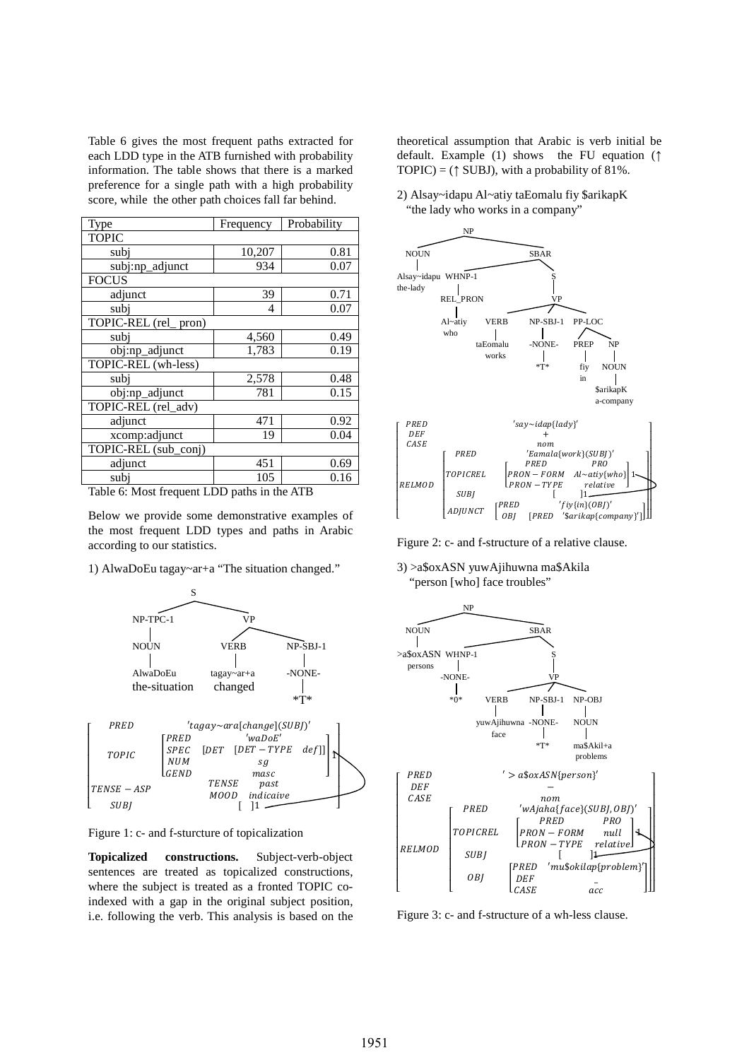Table 6 gives the most frequent paths extracted for each LDD type in the ATB furnished with probability information. The table shows that there is a marked preference for a single path with a high probability score, while the other path choices fall far behind.

| Type                    | Frequency | Probability |  |
|-------------------------|-----------|-------------|--|
| <b>TOPIC</b>            |           |             |  |
| subi                    | 10,207    | 0.81        |  |
| subj:np_adjunct         | 934       | 0.07        |  |
| <b>FOCUS</b>            |           |             |  |
| adjunct                 | 39        | 0.71        |  |
| subi                    | 4         | 0.07        |  |
| TOPIC-REL (rel<br>pron) |           |             |  |
| subi                    | 4,560     | 0.49        |  |
| obj:np_adjunct          | 1,783     | 0.19        |  |
| TOPIC-REL (wh-less)     |           |             |  |
| subi                    | 2,578     | 0.48        |  |
| obj:np_adjunct          | 781       | 0.15        |  |
| TOPIC-REL (rel_adv)     |           |             |  |
| adjunct                 | 471       | 0.92        |  |
| xcomp:adjunct           | 19        | 0.04        |  |
| TOPIC-REL (sub_conj)    |           |             |  |
| adjunct                 | 451       | 0.69        |  |
| subi                    | 105       | 0.16        |  |

Table 6: Most frequent LDD paths in the ATB

Below we provide some demonstrative examples of the most frequent LDD types and paths in Arabic according to our statistics.

1) AlwaDoEu tagay~ar+a "The situation changed."



Figure 1: c- and f-sturcture of topicalization

**Topicalized constructions.** Subject-verb-object sentences are treated as topicalized constructions, where the subject is treated as a fronted TOPIC coindexed with a gap in the original subject position, i.e. following the verb. This analysis is based on the theoretical assumption that Arabic is verb initial be default. Example (1) shows the FU equation (↑ TOPIC) =  $($  [ SUBJ), with a probability of 81%.

2) Alsay~idapu Al~atiy taEomalu fiy \$arikapK "the lady who works in a company"



Figure 2: c- and f-structure of a relative clause.

3) >a\$oxASN yuwAjihuwna ma\$Akila "person [who] face troubles"



Figure 3: c- and f-structure of a wh-less clause.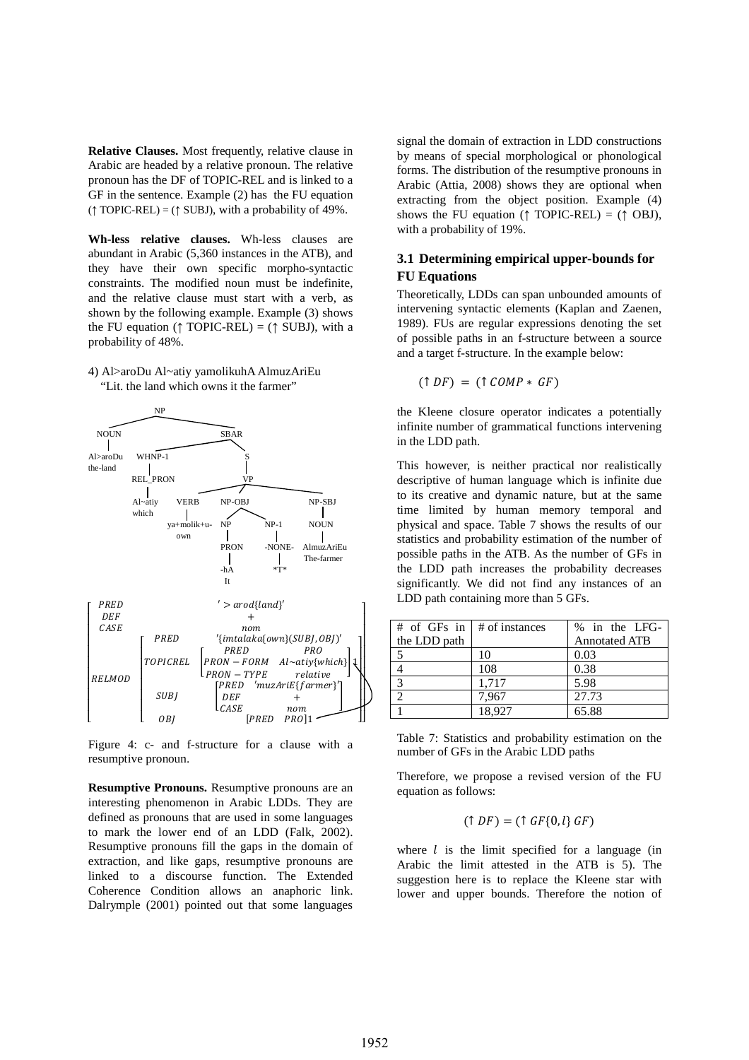**Relative Clauses.** Most frequently, relative clause in Arabic are headed by a relative pronoun. The relative pronoun has the DF of TOPIC-REL and is linked to a GF in the sentence. Example (2) has the FU equation  $(† TOPIC-REL) = († SUBJ), with a probability of 49%.$ 

**Wh-less relative clauses.** Wh-less clauses are abundant in Arabic (5,360 instances in the ATB), and they have their own specific morpho-syntactic constraints. The modified noun must be indefinite, and the relative clause must start with a verb, as shown by the following example. Example (3) shows the FU equation ( $\uparrow$  TOPIC-REL) = ( $\uparrow$  SUBJ), with a probability of 48%.

#### 4) Al>aroDu Al~atiy yamolikuhA AlmuzAriEu "Lit. the land which owns it the farmer"



Figure 4: c- and f-structure for a clause with a resumptive pronoun.

**Resumptive Pronouns.** Resumptive pronouns are an interesting phenomenon in Arabic LDDs. They are defined as pronouns that are used in some languages to mark the lower end of an LDD (Falk, 2002). Resumptive pronouns fill the gaps in the domain of extraction, and like gaps, resumptive pronouns are linked to a discourse function. The Extended Coherence Condition allows an anaphoric link. Dalrymple (2001) pointed out that some languages signal the domain of extraction in LDD constructions by means of special morphological or phonological forms. The distribution of the resumptive pronouns in Arabic (Attia, 2008) shows they are optional when extracting from the object position. Example (4) shows the FU equation ( $\uparrow$  TOPIC-REL) = ( $\uparrow$  OBJ), with a probability of 19%.

## **3.1 Determining empirical upper-bounds for FU Equations**

Theoretically, LDDs can span unbounded amounts of intervening syntactic elements (Kaplan and Zaenen, 1989). FUs are regular expressions denoting the set of possible paths in an f-structure between a source and a target f-structure. In the example below:

$$
(\uparrow DF) = (\uparrow COMP * GF)
$$

the Kleene closure operator indicates a potentially infinite number of grammatical functions intervening in the LDD path.

This however, is neither practical nor realistically descriptive of human language which is infinite due to its creative and dynamic nature, but at the same time limited by human memory temporal and physical and space. Table 7 shows the results of our statistics and probability estimation of the number of possible paths in the ATB. As the number of GFs in the LDD path increases the probability decreases significantly. We did not find any instances of an LDD path containing more than 5 GFs.

| # of GFs in $\vert$ # of instances |        | % in the LFG-        |
|------------------------------------|--------|----------------------|
| the LDD path                       |        | <b>Annotated ATB</b> |
|                                    | 10     | 0.03                 |
|                                    | 108    | 0.38                 |
| $\mathcal{R}$                      | 1,717  | 5.98                 |
|                                    | 7.967  | 27.73                |
|                                    | 18.927 | 65.88                |

Table 7: Statistics and probability estimation on the number of GFs in the Arabic LDD paths

Therefore, we propose a revised version of the FU equation as follows:

$$
(\uparrow DF) = (\uparrow GF\{0,l\} \, GF)
$$

where  $l$  is the limit specified for a language (in Arabic the limit attested in the ATB is 5). The suggestion here is to replace the Kleene star with lower and upper bounds. Therefore the notion of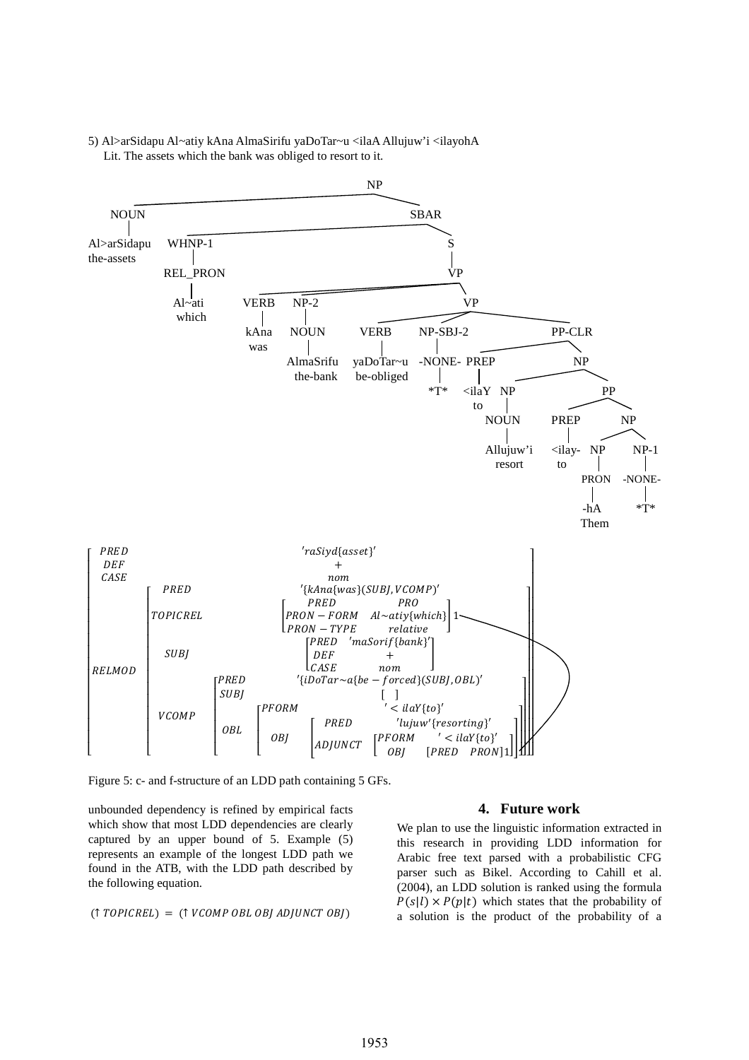

5) Al>arSidapu Al~atiy kAna AlmaSirifu yaDoTar~u <ilaA Allujuw'i <ilayohA Lit. The assets which the bank was obliged to resort to it.

Figure 5: c- and f-structure of an LDD path containing 5 GFs.

unbounded dependency is refined by empirical facts which show that most LDD dependencies are clearly captured by an upper bound of 5. Example (5) represents an example of the longest LDD path we found in the ATB, with the LDD path described by the following equation.

$$
(\uparrow \textit{TOPICREL}) = (\uparrow \textit{VCOMP OBL OBI ADJUNCT OBI})
$$

#### **4. Future work**

We plan to use the linguistic information extracted in this research in providing LDD information for Arabic free text parsed with a probabilistic CFG parser such as Bikel. According to Cahill et al. (2004), an LDD solution is ranked using the formula  $P(s|l) \times P(p|t)$  which states that the probability of a solution is the product of the probability of a